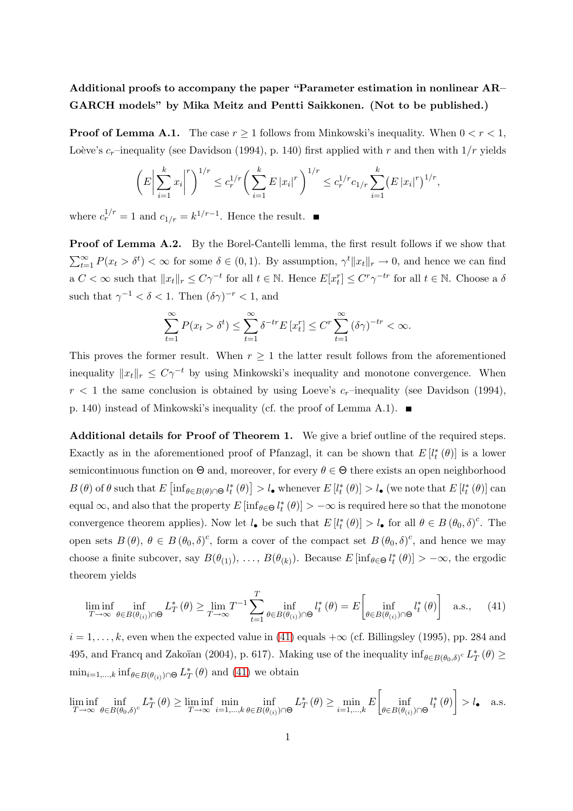## Additional proofs to accompany the paper "Parameter estimation in nonlinear AR– GARCH models" by Mika Meitz and Pentti Saikkonen. (Not to be published.)

**Proof of Lemma A.1.** The case  $r \geq 1$  follows from Minkowski's inequality. When  $0 < r < 1$ , Loève's  $c_r$ –inequality (see Davidson (1994), p. 140) first applied with r and then with  $1/r$  yields

$$
\left(E\left|\sum_{i=1}^k x_i\right|^r\right)^{1/r} \leq c_r^{1/r} \left(\sum_{i=1}^k E\left|x_i\right|^r\right)^{1/r} \leq c_r^{1/r} c_{1/r} \sum_{i=1}^k \left(E\left|x_i\right|^r\right)^{1/r},
$$

where  $c_r^{1/r} = 1$  and  $c_{1/r} = k^{1/r-1}$ . Hence the result.

Proof of Lemma A.2. By the Borel-Cantelli lemma, the first result follows if we show that  $\sum_{t=1}^{\infty} P(x_t > \delta^t) < \infty$  for some  $\delta \in (0,1)$ . By assumption,  $\gamma^t ||x_t||_r \to 0$ , and hence we can find  $a C < \infty$  such that  $||x_t||_r \le C\gamma^{-t}$  for all  $t \in \mathbb{N}$ . Hence  $E[x_t^r] \le C^r \gamma^{-tr}$  for all  $t \in \mathbb{N}$ . Choose a  $\delta$ such that  $\gamma^{-1} < \delta < 1$ . Then  $(\delta \gamma)^{-r} < 1$ , and

$$
\sum_{t=1}^{\infty} P(x_t > \delta^t) \le \sum_{t=1}^{\infty} \delta^{-tr} E[x_t^r] \le C^r \sum_{t=1}^{\infty} (\delta \gamma)^{-tr} < \infty.
$$

This proves the former result. When  $r \geq 1$  the latter result follows from the aforementioned inequality  $||x_t||_r \leq C\gamma^{-t}$  by using Minkowski's inequality and monotone convergence. When  $r < 1$  the same conclusion is obtained by using Loeve's  $c_r$ -inequality (see Davidson (1994), p. 140) instead of Minkowski's inequality (cf. the proof of Lemma A.1).  $\blacksquare$ 

Additional details for Proof of Theorem 1. We give a brief outline of the required steps. Exactly as in the aforementioned proof of Pfanzagl, it can be shown that  $E[l_t^*(\theta)]$  is a lower semicontinuous function on  $\Theta$  and, moreover, for every  $\theta \in \Theta$  there exists an open neighborhood  $B(\theta)$  of  $\theta$  such that  $E\left[\inf_{\theta \in B(\theta) \cap \Theta} l_t^*(\theta)\right] > l_{\bullet}$  whenever  $E[l_t^*(\theta)] > l_{\bullet}$  (we note that  $E[l_t^*(\theta)]$  can equal  $\infty$ , and also that the property  $E[\inf_{\theta \in \Theta} l_t^*(\theta)] > -\infty$  is required here so that the monotone convergence theorem applies). Now let  $l_{\bullet}$  be such that  $E[l_t^*(\theta)] > l_{\bullet}$  for all  $\theta \in B(\theta_0, \delta)^c$ . The open sets  $B(\theta)$ ,  $\theta \in B(\theta_0, \delta)^c$ , form a cover of the compact set  $B(\theta_0, \delta)^c$ , and hence we may choose a finite subcover, say  $B(\theta_{(1)}), \ldots, B(\theta_{(k)})$ . Because  $E[\inf_{\theta \in \Theta} l_t^*(\theta)] > -\infty$ , the ergodic theorem yields

<span id="page-0-0"></span>
$$
\liminf_{T \to \infty} \inf_{\theta \in B(\theta_{(i)}) \cap \Theta} L_T^*(\theta) \ge \lim_{T \to \infty} T^{-1} \sum_{t=1}^T \inf_{\theta \in B(\theta_{(i)}) \cap \Theta} l_t^*(\theta) = E \left[ \inf_{\theta \in B(\theta_{(i)}) \cap \Theta} l_t^*(\theta) \right] \quad \text{a.s.,} \tag{41}
$$

 $i = 1, \ldots, k$ , even when the expected value in [\(41\)](#page-0-0) equals  $+\infty$  (cf. Billingsley (1995), pp. 284 and 495, and Francq and Zakoïan (2004), p. 617). Making use of the inequality  $\inf_{\theta \in B(\theta_0,\delta)} c L^*_{\theta}$  $_{T}^{*}\left( \theta\right) \geq$  $\min_{i=1,\ldots,k} \inf_{\theta \in B(\theta(i)) \cap \Theta} L_T^*$  $_{T}^{*}(\theta)$  and [\(41\)](#page-0-0) we obtain

lim inf  $\lim_{T \to \infty} \inf_{\theta \in B(\theta_0, \delta)^c} L_T^*$  $f(T(\theta) \geq \liminf_{T \to \infty} \min_{i=1,\dots,k} \min_{\theta \in B(\theta_{(i)})}$  $\inf_{\theta \in B(\theta_{(i)}) \cap \Theta} L_I^*$  $f_{T}^{*}(\theta) \geq \min_{i=1,\dots,k} E\left[\inf_{\theta \in B(\theta_{\ell,i})}$  $\inf_{\theta \in B(\theta_{(i)}) \cap \Theta} l_t^*$  $t^*(\theta)\bigg] > l_\bullet$  a.s.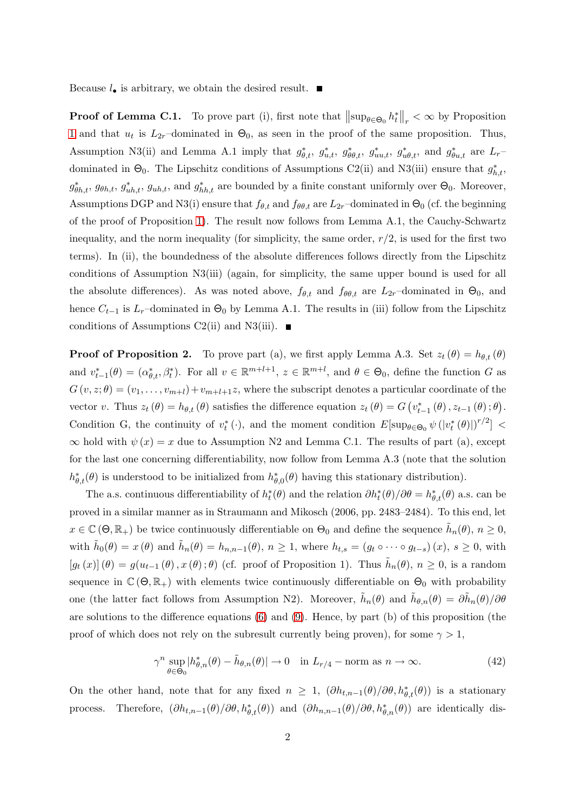Because  $l_{\bullet}$  is arbitrary, we obtain the desired result.  $\blacksquare$ 

**Proof of Lemma C.1.** To prove part (i), first note that  $\|\sup_{\theta \in \Theta_0} h_t^*\|_r < \infty$  by Proposition 1 and that  $u_t$  is  $L_{2r}$ -dominated in  $\Theta_0$ , as seen in the proof of the same proposition. Thus, Assumption N3(ii) and Lemma A.1 imply that  $g_{\theta,t}^*$ ,  $g_{u,t}^*$ ,  $g_{\theta\theta,t}^*$ ,  $g_{uu,t}^*$ ,  $g_{u\theta,t}^*$ , and  $g_{\theta u,t}^*$  are  $L_t$ dominated in  $\Theta_0$ . The Lipschitz conditions of Assumptions C2(ii) and N3(iii) ensure that  $g_{h,t}^*$ ,  $g_{\theta h,t}^*$ ,  $g_{\theta h,t}$ ,  $g_{uh,t}^*$ ,  $g_{uh,t}$ , and  $g_{hh,t}^*$  are bounded by a finite constant uniformly over  $\Theta_0$ . Moreover, Assumptions DGP and N3(i) ensure that  $f_{\theta,t}$  and  $f_{\theta\theta,t}$  are  $L_{2r}$ –dominated in  $\Theta_0$  (cf. the beginning of the proof of Proposition 1). The result now follows from Lemma A.1, the Cauchy-Schwartz inequality, and the norm inequality (for simplicity, the same order,  $r/2$ , is used for the first two terms). In (ii), the boundedness of the absolute differences follows directly from the Lipschitz conditions of Assumption N3(iii) (again, for simplicity, the same upper bound is used for all the absolute differences). As was noted above,  $f_{\theta,t}$  and  $f_{\theta\theta,t}$  are  $L_{2r}$ -dominated in  $\Theta_0$ , and hence  $C_{t-1}$  is  $L_r$ –dominated in  $\Theta_0$  by Lemma A.1. The results in (iii) follow from the Lipschitz conditions of Assumptions C2(ii) and N3(iii).  $\blacksquare$ 

**Proof of Proposition 2.** To prove part (a), we first apply Lemma A.3. Set  $z_t(\theta) = h_{\theta,t}(\theta)$ and  $v_{t-1}^*(\theta) = (\alpha_{\theta,t}^*, \beta_t^*)$ . For all  $v \in \mathbb{R}^{m+l+1}$ ,  $z \in \mathbb{R}^{m+l}$ , and  $\theta \in \Theta_0$ , define the function G as  $G(v, z; \theta) = (v_1, \ldots, v_{m+l}) + v_{m+l+1}z$ , where the subscript denotes a particular coordinate of the vector v. Thus  $z_t(\theta) = h_{\theta,t}(\theta)$  satisfies the difference equation  $z_t(\theta) = G(v_{t-1}^*(\theta), z_{t-1}(\theta); \theta)$ . Condition G, the continuity of  $v_t^* (\cdot)$ , and the moment condition  $E[\sup_{\theta \in \Theta_0} \psi(|v_t^* (\theta)|)^{r/2}]$  <  $\infty$  hold with  $\psi(x) = x$  due to Assumption N2 and Lemma C.1. The results of part (a), except for the last one concerning differentiability, now follow from Lemma A.3 (note that the solution  $h^*_{\theta,t}(\theta)$  is understood to be initialized from  $h^*_{\theta}$  $\phi_{\theta,0}^*(\theta)$  having this stationary distribution).

The a.s. continuous differentiability of  $h_t^*(\theta)$  and the relation  $\partial h_t^*(\theta)/\partial \theta = h_{\theta,t}^*(\theta)$  a.s. can be proved in a similar manner as in Straumann and Mikosch (2006, pp. 2483–2484). To this end, let  $x \in \mathbb{C}(\Theta, \mathbb{R}_+)$  be twice continuously differentiable on  $\Theta_0$  and define the sequence  $\tilde{h}_n(\theta)$ ,  $n \ge 0$ , with  $\tilde{h}_0(\theta) = x(\theta)$  and  $\tilde{h}_n(\theta) = h_{n,n-1}(\theta)$ ,  $n \ge 1$ , where  $h_{t,s} = (g_t \circ \cdots \circ g_{t-s})(x)$ ,  $s \ge 0$ , with  $[g_t(x)](\theta) = g(u_{t-1}(\theta), x(\theta); \theta)$  (cf. proof of Proposition 1). Thus  $\tilde{h}_n(\theta), n \geq 0$ , is a random sequence in  $\mathbb{C}(\Theta,\mathbb{R}_+)$  with elements twice continuously differentiable on  $\Theta_0$  with probability one (the latter fact follows from Assumption N2). Moreover,  $\tilde{h}_n(\theta)$  and  $\tilde{h}_{\theta,n}(\theta) = \partial \tilde{h}_n(\theta)/\partial \theta$ are solutions to the difference equations (6) and (9). Hence, by part (b) of this proposition (the proof of which does not rely on the subresult currently being proven), for some  $\gamma > 1$ ,

<span id="page-1-0"></span>
$$
\gamma^n \sup_{\theta \in \Theta_0} |h_{\theta,n}^*(\theta) - \tilde{h}_{\theta,n}(\theta)| \to 0 \quad \text{in } L_{r/4} - \text{norm as } n \to \infty. \tag{42}
$$

On the other hand, note that for any fixed  $n \geq 1$ ,  $(\partial h_{t,n-1}(\theta)/\partial \theta, h_{\theta,t}^*(\theta))$  is a stationary process. Therefore,  $(\partial h_{t,n-1}(\theta)/\partial \theta, h_{\theta,t}^*(\theta))$  and  $(\partial h_{n,n-1}(\theta)/\partial \theta, h_{\theta,n}^*(\theta))$  are identically dis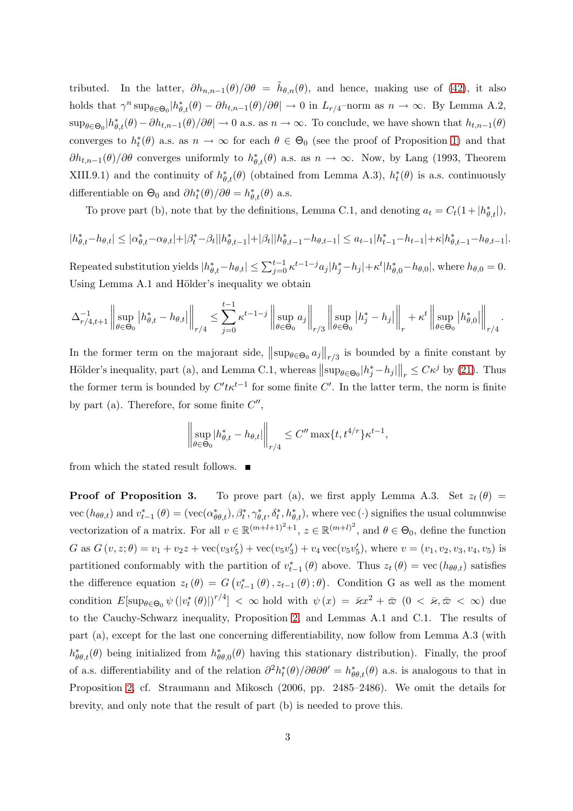tributed. In the latter,  $\partial h_{n,n-1}(\theta)/\partial \theta = \tilde{h}_{\theta,n}(\theta)$ , and hence, making use of [\(42\)](#page-1-0), it also holds that  $\gamma^n \sup_{\theta \in \Theta_0} |h^*_{\theta,t}(\theta) - \partial h_{t,n-1}(\theta)/\partial \theta| \to 0$  in  $L_{r/4}$ -norm as  $n \to \infty$ . By Lemma A.2,  $\sup_{\theta \in \Theta_0} |h^*_{\theta,t}(\theta) - \partial h_{t,n-1}(\theta)/\partial \theta| \to 0$  a.s. as  $n \to \infty$ . To conclude, we have shown that  $h_{t,n-1}(\theta)$ converges to  $h_t^*(\theta)$  a.s. as  $n \to \infty$  for each  $\theta \in \Theta_0$  (see the proof of Proposition 1) and that  $\partial h_{t,n-1}(\theta)/\partial\theta$  converges uniformly to  $h^*_{\theta,t}(\theta)$  a.s. as  $n \to \infty$ . Now, by Lang (1993, Theorem XIII.9.1) and the continuity of  $h^*_{\theta,t}(\theta)$  (obtained from Lemma A.3),  $h^*_t(\theta)$  is a.s. continuously differentiable on  $\Theta_0$  and  $\partial h_t^*(\theta)/\partial \theta = h_{\theta,t}^*(\theta)$  a.s.

To prove part (b), note that by the definitions, Lemma C.1, and denoting  $a_t = C_t(1+|h^*_{\theta,t}|)$ ,

$$
|h^*_{\theta,t}-h_{\theta,t}|\leq |\alpha^*_{\theta,t}-\alpha_{\theta,t}|+|\beta^*_t-\beta_t||h^*_{\theta,t-1}|+|\beta_t||h^*_{\theta,t-1}-h_{\theta,t-1}|\leq a_{t-1}|h^*_{t-1}-h_{t-1}|+\kappa|h^*_{\theta,t-1}-h_{\theta,t-1}|.
$$

Repeated substitution yields  $|h_{\theta,t}^* - h_{\theta,t}| \leq \sum_{j=0}^{t-1} \kappa^{t-1-j} a_j |h_j^* - h_j| + \kappa^t |h_{\theta,0}^* - h_{\theta,0}|$ , where  $h_{\theta,0} = 0$ . Using Lemma A.1 and Hölder's inequality we obtain

$$
\Delta_{r/4,t+1}^{-1}\left\|\sup_{\theta\in\Theta_0}\left|h^*_{\theta,t}-h_{\theta,t}\right|\right\|_{r/4}\leq \sum_{j=0}^{t-1}\kappa^{t-1-j}\left\|\sup_{\theta\in\Theta_0}a_j\right\|_{r/3}\left\|\sup_{\theta\in\Theta_0}\left|h^*_j-h_j\right|\right\|_{r}+\kappa^t\left\|\sup_{\theta\in\Theta_0}\left|h^*_{\theta,0}\right|\right\|_{r/4}.
$$

In the former term on the majorant side,  $\|\sup_{\theta \in \Theta_0} a_j\|_{r/3}$  is bounded by a finite constant by Hölder's inequality, part (a), and Lemma C.1, whereas  $||\sup_{\theta \in \Theta_0} |h_j^* - h_j||_r \leq C\kappa^j$  by (21). Thus the former term is bounded by  $C't \kappa^{t-1}$  for some finite  $C'$ . In the latter term, the norm is finite by part (a). Therefore, for some finite  $C''$ ,

$$
\left\| \sup_{\theta \in \Theta_0} |h^*_{\theta, t} - h_{\theta, t}| \right\|_{r/4} \le C'' \max\{t, t^{4/r}\} \kappa^{t-1},
$$

from which the stated result follows.  $\blacksquare$ 

**Proof of Proposition 3.** To prove part (a), we first apply Lemma A.3. Set  $z_t(\theta)$  = vec  $(h_{\theta\theta,t})$  and  $v_{t-1}^*(\theta) = (\text{vec}(\alpha_{\theta\theta,t}^*), \beta_t^*, \gamma_{\theta,t}^*, \delta_t^*, h_{\theta,t}^*),$  where vec  $(\cdot)$  signifies the usual columnwise vectorization of a matrix. For all  $v \in \mathbb{R}^{(m+l+1)^2+1}$ ,  $z \in \mathbb{R}^{(m+l)^2}$ , and  $\theta \in \Theta_0$ , define the function G as  $G(v, z; \theta) = v_1 + v_2 z + \text{vec}(v_3 v_5)$  $'_{5}) + \text{vec}(v_{5}v'_{3})$  $(v_3) + v_4 \,\text{vec}(v_5 v_5)$  $'_{5}$ ), where  $v = (v_{1}, v_{2}, v_{3}, v_{4}, v_{5})$  is partitioned conformably with the partition of  $v_{t-1}^*(\theta)$  above. Thus  $z_t(\theta) = \text{vec}(h_{\theta\theta,t})$  satisfies the difference equation  $z_t(\theta) = G(v_{t-1}^*(\theta), z_{t-1}(\theta); \theta)$ . Condition G as well as the moment condition  $E[\sup_{\theta \in \Theta_0} \psi(|v_t^*(\theta)|)^{r/4}] < \infty$  hold with  $\psi(x) = \bar{\varkappa}x^2 + \bar{\varpi}(0 < \bar{\varkappa}, \bar{\varpi} < \infty)$  due to the Cauchy-Schwarz inequality, Proposition 2, and Lemmas A.1 and C.1. The results of part (a), except for the last one concerning differentiability, now follow from Lemma A.3 (with  $h^*_{\theta\theta,t}(\theta)$  being initialized from  $h^*_{\theta}$  $\psi_{\theta\theta,0}^*(\theta)$  having this stationary distribution). Finally, the proof of a.s. differentiability and of the relation  $\partial^2 h_t^*(\theta)/\partial\theta\partial\theta' = h_{\theta\theta,t}^*(\theta)$  a.s. is analogous to that in Proposition 2, cf. Straumann and Mikosch (2006, pp. 2485–2486). We omit the details for brevity, and only note that the result of part (b) is needed to prove this.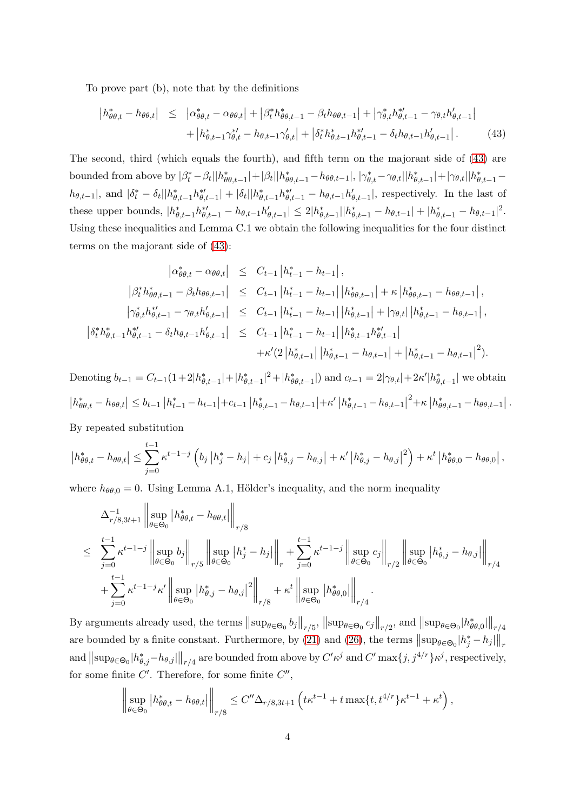To prove part (b), note that by the definitions

<span id="page-3-0"></span>
$$
\begin{aligned} \left| h_{\theta\theta,t}^{*} - h_{\theta\theta,t} \right| &\leq \left| \alpha_{\theta\theta,t}^{*} - \alpha_{\theta\theta,t} \right| + \left| \beta_{t}^{*} h_{\theta\theta,t-1}^{*} - \beta_{t} h_{\theta\theta,t-1} \right| + \left| \gamma_{\theta,t}^{*} h_{\theta,t-1}^{*'} - \gamma_{\theta,t} h_{\theta,t-1}' \right| \\ &+ \left| h_{\theta,t-1}^{*} \gamma_{\theta,t}^{*'} - h_{\theta,t-1} \gamma_{\theta,t}' \right| + \left| \delta_{t}^{*} h_{\theta,t-1}^{*} h_{\theta,t-1}^{*'} - \delta_{t} h_{\theta,t-1} h_{\theta,t-1}' \right| . \end{aligned} \tag{43}
$$

The second, third (which equals the fourth), and fifth term on the majorant side of [\(43\)](#page-3-0) are bounded from above by  $|\beta_t^* - \beta_t||h_{\theta\theta,t-1}^*| + |\beta_t||h_{\theta\theta,t-1}^* - h_{\theta\theta,t-1}|, |\gamma_{\theta,t}^* - \gamma_{\theta,t}||h_{\theta,t-1}^*| + |\gamma_{\theta,t}||h_{\theta,t-1}^* - h_{\theta\theta,t-1}|$  $|h_{\theta,t-1}|$ , and  $|\delta_t^* - \delta_t||h_{\theta,t-1}^*h_{\theta,t-1}^*| + |\delta_t||h_{\theta,t-1}^*h_{\theta,t-1}^* - h_{\theta,t-1}h_{\theta,t-1}^*|$ , respectively. In the last of these upper bounds,  $|h_{\theta,t-1}^* h_{\theta,t-1}^{*'} - h_{\theta,t-1} h_{\theta,t-1}' | \leq 2|h_{\theta,t-1}^*| |h_{\theta,t-1}^* - h_{\theta,t-1}| + |h_{\theta,t-1}^* - h_{\theta,t-1}|^2$ . Using these inequalities and Lemma C.1 we obtain the following inequalities for the four distinct terms on the majorant side of [\(43\)](#page-3-0):

$$
\begin{array}{rcl}\n\left|\alpha_{\theta\theta,t}^{*}-\alpha_{\theta\theta,t}\right| & \leq & C_{t-1}\left|h_{t-1}^{*}-h_{t-1}\right|, \\
\left|\beta_{t}^{*}h_{\theta\theta,t-1}^{*}-\beta_{t}h_{\theta\theta,t-1}\right| & \leq & C_{t-1}\left|h_{t-1}^{*}-h_{t-1}\right|\left|h_{\theta\theta,t-1}^{*}\right|+\kappa\left|h_{\theta\theta,t-1}^{*}-h_{\theta\theta,t-1}\right|, \\
\left|\gamma_{\theta,t}^{*}h_{\theta,t-1}^{*}-\gamma_{\theta,t}h_{\theta,t-1}'\right| & \leq & C_{t-1}\left|h_{t-1}^{*}-h_{t-1}\right|\left|h_{\theta,t-1}^{*}\right|+\left|\gamma_{\theta,t}\right|\left|h_{\theta,t-1}^{*}-h_{\theta,t-1}\right|, \\
\left|\delta_{t}^{*}h_{\theta,t-1}^{*}h_{\theta,t-1}^{*}-\delta_{t}h_{\theta,t-1}h_{\theta,t-1}'\right| & \leq & C_{t-1}\left|h_{t-1}^{*}-h_{t-1}\right|\left|h_{\theta,t-1}^{*}h_{\theta,t-1}^{*}\right| \\
& & +\kappa'(2\left|h_{\theta,t-1}^{*}\right|\left|h_{\theta,t-1}^{*}-h_{\theta,t-1}\right|+\left|h_{\theta,t-1}^{*}-h_{\theta,t-1}\right|^{2}).\n\end{array}
$$

Denoting  $b_{t-1} = C_{t-1}(1+2|h_{\theta,t-1}^*|+|h_{\theta,t-1}^*|^2+|h_{\theta\theta,t-1}^*|)$  and  $c_{t-1} = 2|\gamma_{\theta,t}|+2\kappa'|h_{\theta,t-1}^*|$  we obtain  $\left|h^*_{\theta\theta,t}-h_{\theta\theta,t}\right|\leq b_{t-1}\left|h^*_{t-1}-h_{t-1}\right|+c_{t-1}\left|h^*_{\theta,t-1}-h_{\theta,t-1}\right|+\kappa'\left|h^*_{\theta,t-1}-h_{\theta,t-1}\right|^2+\kappa\left|h^*_{\theta\theta,t-1}-h_{\theta\theta,t-1}\right|.$ 

By repeated substitution

$$
\left| h_{\theta\theta,t}^{*} - h_{\theta\theta,t} \right| \leq \sum_{j=0}^{t-1} \kappa^{t-1-j} \left( b_{j} \left| h_{j}^{*} - h_{j} \right| + c_{j} \left| h_{\theta,j}^{*} - h_{\theta,j} \right| + \kappa' \left| h_{\theta,j}^{*} - h_{\theta,j} \right|^{2} \right) + \kappa^{t} \left| h_{\theta\theta,0}^{*} - h_{\theta\theta,0} \right|,
$$

where  $h_{\theta\theta,0} = 0$ . Using Lemma A.1, Hölder's inequality, and the norm inequality

$$
\Delta_{r/8,3t+1}^{-1} \left\| \sup_{\theta \in \Theta_0} \left| h_{\theta\theta,t}^* - h_{\theta\theta,t} \right| \right\|_{r/8}
$$
\n
$$
\leq \sum_{j=0}^{t-1} \kappa^{t-1-j} \left\| \sup_{\theta \in \Theta_0} b_j \right\|_{r/5} \left\| \sup_{\theta \in \Theta_0} \left| h_j^* - h_j \right| \right\|_r + \sum_{j=0}^{t-1} \kappa^{t-1-j} \left\| \sup_{\theta \in \Theta_0} c_j \right\|_{r/2} \left\| \sup_{\theta \in \Theta_0} \left| h_{\theta,j}^* - h_{\theta,j} \right| \right\|_{r/4}
$$
\n
$$
+ \sum_{j=0}^{t-1} \kappa^{t-1-j} \kappa' \left\| \sup_{\theta \in \Theta_0} \left| h_{\theta,j}^* - h_{\theta,j} \right|^2 \right\|_{r/8} + \kappa^t \left\| \sup_{\theta \in \Theta_0} \left| h_{\theta\theta,0}^* \right| \right\|_{r/4}.
$$

By arguments already used, the terms  $\|\sup_{\theta \in \Theta_0} b_j\|_{r/5}$ ,  $\|\sup_{\theta \in \Theta_0} c_j\|_{r/2}$ , and  $\|\sup_{\theta \in \Theta_0} h_{\theta}^*$  $_{\theta\theta,0}^{\ast}$ || $_{r/4}$ are bounded by a finite constant. Furthermore, by (21) and (26), the terms  $||\sup_{\theta \in \Theta_0} |h_j^* - h_j||_r$  $\text{and } \left\|\sup_{\theta\in\Theta_0}|h_{\theta,j}^*-h_{\theta,j}|\right\|_{r/4} \text{ are bounded from above by } C'\kappa^j \text{ and } C'\max\{j,j^{4/r}\}\kappa^j, \text{ respectively,}$ for some finite  $C'$ . Therefore, for some finite  $C''$ ,

$$
\left\|\sup_{\theta\in\Theta_0}|h_{\theta\theta,t}^*-h_{\theta\theta,t}|\right\|_{r/8}\leq C''\Delta_{r/8,3t+1}\left(t\kappa^{t-1}+t\max\{t,t^{4/r}\}\kappa^{t-1}+\kappa^t\right),\,
$$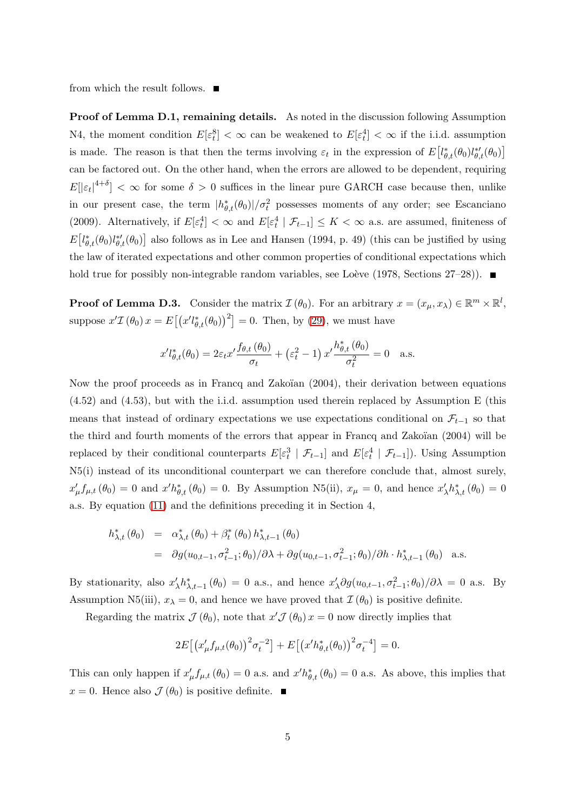from which the result follows.  $\blacksquare$ 

Proof of Lemma D.1, remaining details. As noted in the discussion following Assumption N4, the moment condition  $E[\varepsilon_t^8] < \infty$  can be weakened to  $E[\varepsilon_t^4] < \infty$  if the i.i.d. assumption is made. The reason is that then the terms involving  $\varepsilon_t$  in the expression of  $E\left[l_{\theta,t}^*(\theta_0)l_{\theta,t}^{*\prime}(\theta_0)\right]$ can be factored out. On the other hand, when the errors are allowed to be dependent, requiring  $E[|\varepsilon_t|^{4+\delta}] < \infty$  for some  $\delta > 0$  suffices in the linear pure GARCH case because then, unlike in our present case, the term  $|h_{\theta,t}^*(\theta_0)|/\sigma_t^2$  possesses moments of any order; see Escanciano (2009). Alternatively, if  $E[\varepsilon_t^4] < \infty$  and  $E[\varepsilon_t^4 | \mathcal{F}_{t-1}] \leq K < \infty$  a.s. are assumed, finiteness of  $E\left[l_{\theta,t}^*(\theta_0)l_{\theta,t}^{*\prime}(\theta_0)\right]$  also follows as in Lee and Hansen (1994, p. 49) (this can be justified by using the law of iterated expectations and other common properties of conditional expectations which hold true for possibly non-integrable random variables, see Loève (1978, Sections  $27-28$ ).

**Proof of Lemma D.3.** Consider the matrix  $\mathcal{I}(\theta_0)$ . For an arbitrary  $x = (x_\mu, x_\lambda) \in \mathbb{R}^m \times \mathbb{R}^l$ , suppose  $x'\mathcal{I}(\theta_0) x = E[(x' l_{\theta,t}^*(\theta_0))^2] = 0$ . Then, by (29), we must have

$$
x'l_{\theta,t}^*(\theta_0) = 2\varepsilon_t x' \frac{f_{\theta,t}(\theta_0)}{\sigma_t} + \left(\varepsilon_t^2 - 1\right) x' \frac{h_{\theta,t}^*(\theta_0)}{\sigma_t^2} = 0 \quad \text{a.s.}
$$

Now the proof proceeds as in Francq and Zakoïan (2004), their derivation between equations (4.52) and (4.53), but with the i.i.d. assumption used therein replaced by Assumption E (this means that instead of ordinary expectations we use expectations conditional on  $\mathcal{F}_{t-1}$  so that the third and fourth moments of the errors that appear in Francq and Zakoïan  $(2004)$  will be replaced by their conditional counterparts  $E[\epsilon_t^3 | \mathcal{F}_{t-1}]$  and  $E[\epsilon_t^4 | \mathcal{F}_{t-1}]$ ). Using Assumption N5(i) instead of its unconditional counterpart we can therefore conclude that, almost surely,  $x'_\mu f_{\mu,t}(\theta_0) = 0$  and  $x'h_{\theta,t}^*(\theta_0) = 0$ . By Assumption N5(ii),  $x_\mu = 0$ , and hence  $x'_\mu$  $'_{\lambda}h_{\lambda,t}^*(\theta_0)=0$ a.s. By equation (11) and the definitions preceding it in Section 4,

$$
h_{\lambda,t}^{*}(\theta_{0}) = \alpha_{\lambda,t}^{*}(\theta_{0}) + \beta_{t}^{*}(\theta_{0}) h_{\lambda,t-1}^{*}(\theta_{0})
$$
  
=  $\partial g(u_{0,t-1}, \sigma_{t-1}^{2}; \theta_{0})/\partial \lambda + \partial g(u_{0,t-1}, \sigma_{t-1}^{2}; \theta_{0})/\partial h \cdot h_{\lambda,t-1}^{*}(\theta_{0})$  a.s.

By stationarity, also  $x'_2$  $\chi' \, h_{\lambda,t-1}^*(\theta_0) = 0$  a.s., and hence  $x'$  $\lambda \partial g(u_{0,t-1}, \sigma_{t-1}^2; \theta_0) / \partial \lambda = 0$  a.s. By Assumption N5(iii),  $x_{\lambda} = 0$ , and hence we have proved that  $\mathcal{I}(\theta_0)$  is positive definite.

Regarding the matrix  $\mathcal{J}(\theta_0)$ , note that  $x'\mathcal{J}(\theta_0)x=0$  now directly implies that

$$
2E[(x'_{\mu}f_{\mu,t}(\theta_0))^{2}\sigma_t^{-2}] + E[(x'h_{\theta,t}^{*}(\theta_0))^{2}\sigma_t^{-4}] = 0.
$$

This can only happen if  $x'_\mu f_{\mu,t}(\theta_0) = 0$  a.s. and  $x'h^*_{\theta,t}(\theta_0) = 0$  a.s. As above, this implies that  $x = 0$ . Hence also  $\mathcal{J}(\theta_0)$  is positive definite.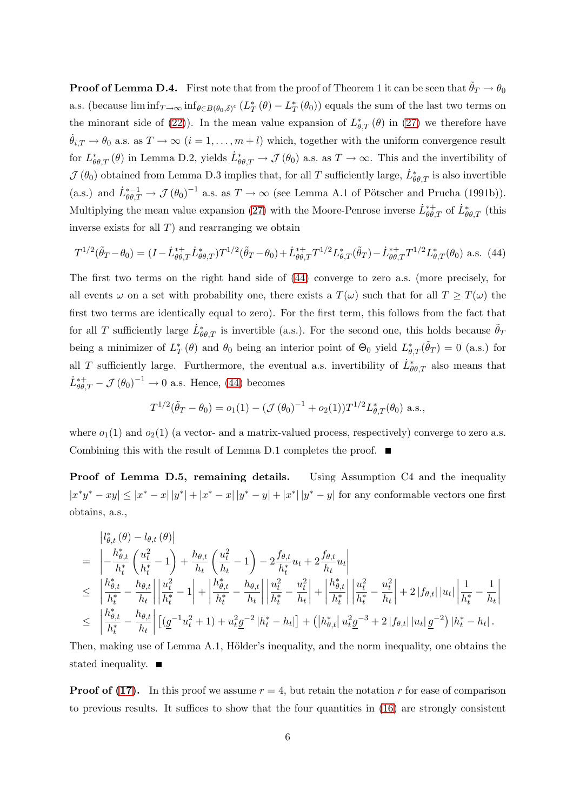**Proof of Lemma D.4.** First note that from the proof of Theorem 1 it can be seen that  $\theta_T \to \theta_0$ a.s. (because  $\liminf_{T\to\infty} \inf_{\theta \in B(\theta_0,\delta)^c} (L_T^*)$  $_{T}^{*}(\theta)-L_{T}^{*}$  $_{T}^{*}(\theta_{0})$  equals the sum of the last two terms on the minorant side of (22)). In the mean value expansion of  $L_{\theta,T}^*(\theta)$  in (27) we therefore have  $\dot{\theta}_{i,T} \to \theta_0$  a.s. as  $T \to \infty$   $(i = 1, \ldots, m+l)$  which, together with the uniform convergence result for  $L^*_{\theta\theta,T}(\theta)$  in Lemma D.2, yields  $\dot{L}^*_{\theta\theta,T} \to \mathcal{J}(\theta_0)$  a.s. as  $T \to \infty$ . This and the invertibility of  $J(\theta_0)$  obtained from Lemma D.3 implies that, for all T sufficiently large,  $\dot{L}^*_{\theta\theta,T}$  is also invertible (a.s.) and  $\dot{L}_{\theta\theta,T}^{*-1} \to \mathcal{J}(\theta_0)^{-1}$  a.s. as  $T \to \infty$  (see Lemma A.1 of Pötscher and Prucha (1991b)). Multiplying the mean value expansion (27) with the Moore-Penrose inverse  $\dot{L}_{\theta\theta,T}^{*+}$  of  $\dot{L}_{\theta\theta,T}^{*}$  (this inverse exists for all  $T$ ) and rearranging we obtain

<span id="page-5-0"></span>
$$
T^{1/2}(\tilde{\theta}_T - \theta_0) = (I - \dot{L}_{\theta\theta,T}^{*+} \dot{L}_{\theta\theta,T}^{*}) T^{1/2}(\tilde{\theta}_T - \theta_0) + \dot{L}_{\theta\theta,T}^{*+} T^{1/2} L_{\theta,T}^{*}(\tilde{\theta}_T) - \dot{L}_{\theta\theta,T}^{*+} T^{1/2} L_{\theta,T}^{*}(\theta_0)
$$
 a.s. (44)

The first two terms on the right hand side of [\(44\)](#page-5-0) converge to zero a.s. (more precisely, for all events  $\omega$  on a set with probability one, there exists a  $T(\omega)$  such that for all  $T \geq T(\omega)$  the first two terms are identically equal to zero). For the first term, this follows from the fact that for all T sufficiently large  $\dot{L}^*_{\theta\theta,T}$  is invertible (a.s.). For the second one, this holds because  $\tilde{\theta}_T$ being a minimizer of  $L_7^*$  $T(\theta)$  and  $\theta_0$  being an interior point of  $\Theta_0$  yield  $L^*_{\theta,T}(\tilde{\theta}_T) = 0$  (a.s.) for all T sufficiently large. Furthermore, the eventual a.s. invertibility of  $\dot{L}^*_{\theta\theta,T}$  also means that  $\dot{L}_{\theta\theta,T}^{*+} - \mathcal{J}(\theta_0)^{-1} \to 0$  a.s. Hence, [\(44\)](#page-5-0) becomes

$$
T^{1/2}(\tilde{\theta}_T - \theta_0) = o_1(1) - (\mathcal{J}(\theta_0)^{-1} + o_2(1))T^{1/2}L_{\theta,T}^*(\theta_0) \text{ a.s.},
$$

where  $o_1(1)$  and  $o_2(1)$  (a vector- and a matrix-valued process, respectively) converge to zero a.s. Combining this with the result of Lemma D.1 completes the proof.  $\blacksquare$ 

Proof of Lemma D.5, remaining details. Using Assumption C4 and the inequality  $|x^*y^* - xy| \le |x^* - x| |y^*| + |x^* - x| |y^* - y| + |x^*| |y^* - y|$  for any conformable vectors one first obtains, a.s.,

$$
\begin{split}\n&= \left|-\frac{h_{\theta,t}^{*}(\theta)-l_{\theta,t}(\theta)}{h_{t}^{*}}\left(\frac{u_{t}^{2}}{h_{t}^{*}}-1\right)+\frac{h_{\theta,t}}{h_{t}}\left(\frac{u_{t}^{2}}{h_{t}}-1\right)-2\frac{f_{\theta,t}}{h_{t}^{*}}u_{t}+2\frac{f_{\theta,t}}{h_{t}}u_{t}\right| \\
&\leq \left|\frac{h_{\theta,t}^{*}}{h_{t}^{*}}-\frac{h_{\theta,t}}{h_{t}}\right|\left|\frac{u_{t}^{2}}{h_{t}^{*}}-1\right|+\left|\frac{h_{\theta,t}^{*}}{h_{t}^{*}}-\frac{h_{\theta,t}}{h_{t}}\right|\left|\frac{u_{t}^{2}}{h_{t}^{*}}-\frac{u_{t}^{2}}{h_{t}}\right|+\left|\frac{h_{\theta,t}^{*}}{h_{t}^{*}}\right|\left|\frac{u_{t}^{2}}{h_{t}^{*}}-\frac{u_{t}^{2}}{h_{t}}\right|+2\left|f_{\theta,t}\right|\left|u_{t}\right|\left|\frac{1}{h_{t}^{*}}-\frac{1}{h_{t}}\right| \\
&\leq \left|\frac{h_{\theta,t}^{*}}{h_{t}^{*}}-\frac{h_{\theta,t}}{h_{t}}\right|\left[(g^{-1}u_{t}^{2}+1)+u_{t}^{2}g^{-2}\left|h_{t}^{*}-h_{t}\right|\right]+(\left|h_{\theta,t}^{*}\right|u_{t}^{2}g^{-3}+2\left|f_{\theta,t}\right|\left|u_{t}\right|g^{-2}\right)|h_{t}^{*}-h_{t}|\,. \end{split}
$$

Then, making use of Lemma A.1, Hölder's inequality, and the norm inequality, one obtains the stated inequality.

**Proof of (17).** In this proof we assume  $r = 4$ , but retain the notation r for ease of comparison to previous results. It suffices to show that the four quantities in (16) are strongly consistent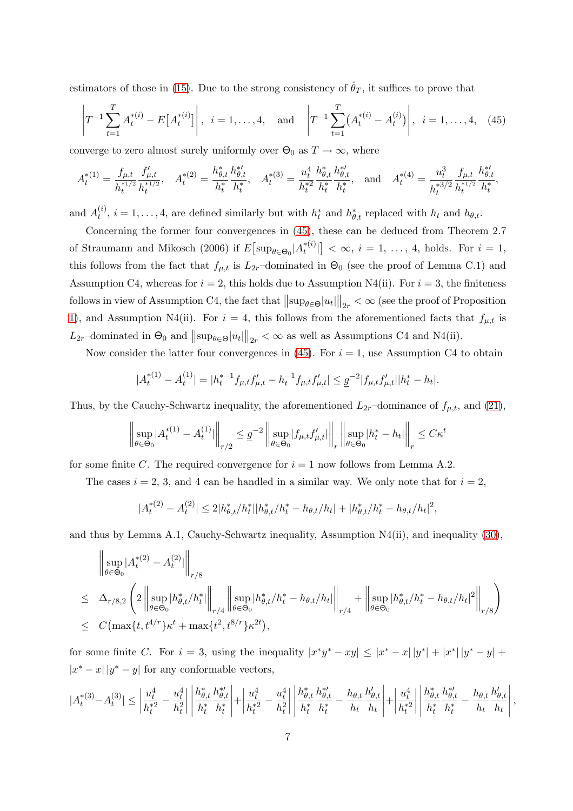estimators of those in (15). Due to the strong consistency of  $\hat{\theta}_T$ , it suffices to prove that

<span id="page-6-0"></span>
$$
\left| T^{-1} \sum_{t=1}^{T} A_t^{*(i)} - E[A_t^{*(i)}] \right|, \ i = 1, ..., 4, \text{ and } \left| T^{-1} \sum_{t=1}^{T} (A_t^{*(i)} - A_t^{(i)}) \right|, \ i = 1, ..., 4, \ (45)
$$

converge to zero almost surely uniformly over  $\Theta_0$  as  $T \to \infty$ , where

$$
A_t^{*(1)} = \frac{f_{\mu,t}}{h_t^{*1/2}} \frac{f'_{\mu,t}}{h_t^{*1/2}}, \quad A_t^{*(2)} = \frac{h_{\theta,t}^*}{h_t^*} \frac{h_{\theta,t}^{*}}{h_t^*}, \quad A_t^{*(3)} = \frac{u_t^4}{h_t^{*2}} \frac{h_{\theta,t}^*}{h_t^*} \frac{h_{\theta,t}^{*}}{h_t^*}, \quad \text{and} \quad A_t^{*(4)} = \frac{u_t^3}{h_t^{*3/2}} \frac{f_{\mu,t}}{h_t^{*1/2}} \frac{h_{\theta,t}^{*}}{h_t^*},
$$

and  $A_t^{(i)}$  $t_i^{(i)}$ ,  $i = 1, ..., 4$ , are defined similarly but with  $h_t^*$  and  $h_{\theta,t}^*$  replaced with  $h_t$  and  $h_{\theta,t}$ .

Concerning the former four convergences in [\(45\)](#page-6-0), these can be deduced from Theorem 2.7 of Straumann and Mikosch (2006) if  $E\big[\sup_{\theta\in\Theta_0}|A_t^{\ast(i)}\big]$  $\left[t_i^{*(i)}\right] < \infty, i = 1, \ldots, 4$ , holds. For  $i = 1$ , this follows from the fact that  $f_{\mu,t}$  is  $L_{2r}$ -dominated in  $\Theta_0$  (see the proof of Lemma C.1) and Assumption C4, whereas for  $i = 2$ , this holds due to Assumption N4(ii). For  $i = 3$ , the finiteness follows in view of Assumption C4, the fact that  $\|\sup_{\theta \in \Theta} |u_t|\|_{2r} < \infty$  (see the proof of Proposition 1), and Assumption N4(ii). For  $i = 4$ , this follows from the aforementioned facts that  $f_{\mu, t}$  is  $L_{2r}$ -dominated in  $\Theta_0$  and  $\|\sup_{\theta \in \Theta} |u_t|\|_{2r} < \infty$  as well as Assumptions C4 and N4(ii).

Now consider the latter four convergences in [\(45\)](#page-6-0). For  $i = 1$ , use Assumption C4 to obtain

$$
|A_t^{*(1)} - A_t^{(1)}| = |h_t^{*-1} f_{\mu,t} f_{\mu,t}' - h_t^{-1} f_{\mu,t} f_{\mu,t}'| \leq \underline{g}^{-2} |f_{\mu,t} f_{\mu,t}'||h_t^* - h_t|.
$$

Thus, by the Cauchy-Schwartz inequality, the aforementioned  $L_{2r}$ –dominance of  $f_{\mu,t}$ , and (21),

$$
\left\| \sup_{\theta \in \Theta_0} |A_t^{*(1)} - A_t^{(1)}| \right\|_{r/2} \leq \underline{g}^{-2} \left\| \sup_{\theta \in \Theta_0} |f_{\mu,t} f_{\mu,t}'| \right\|_r \left\| \sup_{\theta \in \Theta_0} |h_t^* - h_t| \right\|_r \leq C\kappa^t
$$

for some finite C. The required convergence for  $i = 1$  now follows from Lemma A.2.

The cases  $i = 2, 3$ , and 4 can be handled in a similar way. We only note that for  $i = 2$ ,

$$
|A_t^{*(2)} - A_t^{(2)}| \le 2|h_{\theta,t}^*/h_t^*||h_{\theta,t}^*/h_t^* - h_{\theta,t}/h_t| + |h_{\theta,t}^*/h_t^* - h_{\theta,t}/h_t|^2,
$$

and thus by Lemma A.1, Cauchy-Schwartz inequality, Assumption N4(ii), and inequality (30),

$$
\|\sup_{\theta \in \Theta_0} |A_t^{*(2)} - A_t^{(2)}| \Big\|_{r/8}
$$
\n
$$
\leq \Delta_{r/8,2} \left( 2 \left\| \sup_{\theta \in \Theta_0} |h_{\theta,t}^{*}/h_t^{*}| \right\|_{r/4} \left\| \sup_{\theta \in \Theta_0} |h_{\theta,t}^{*}/h_t^{*} - h_{\theta,t}/h_t| \right\|_{r/4} + \left\| \sup_{\theta \in \Theta_0} |h_{\theta,t}^{*}/h_t^{*} - h_{\theta,t}/h_t|^{2} \right\|_{r/8} \right)
$$
\n
$$
\leq C \left( \max \{ t, t^{4/r} \} \kappa^{t} + \max \{ t^{2}, t^{8/r} \} \kappa^{2t} \right),
$$

for some finite C. For  $i = 3$ , using the inequality  $|x^*y^* - xy| \le |x^* - x||y^*| + |x^*||y^* - y| +$  $|x^* - x| |y^* - y|$  for any conformable vectors,

$$
|A_t^{*(3)}-A_t^{(3)}|\leq \left|\frac{u_t^4}{h_t^{*2}}-\frac{u_t^4}{h_t^2}\right|\left|\frac{h_{\theta,t}^*}{h_t^*}\frac{h_{\theta,t}^{* \prime}}{h_t^*}\right|+\left|\frac{u_t^4}{h_t^{*2}}-\frac{u_t^4}{h_t^2}\right|\left|\frac{h_{\theta,t}^*}{h_t^*}\frac{h_{\theta,t}^{* \prime}}{h_t^*}-\frac{h_{\theta,t}}{h_t}\frac{h_{\theta,t}^{'}\prime}{h_t}\right|+\left|\frac{u_t^4}{h_t^{*2}}\right|\left|\frac{h_{\theta,t}^*}{h_t^*}\frac{h_{\theta,t}^{* \prime}}{h_t^*}-\frac{h_{\theta,t}}{h_t}\frac{h_{\theta,t}^{\prime}}{h_t}\right|,
$$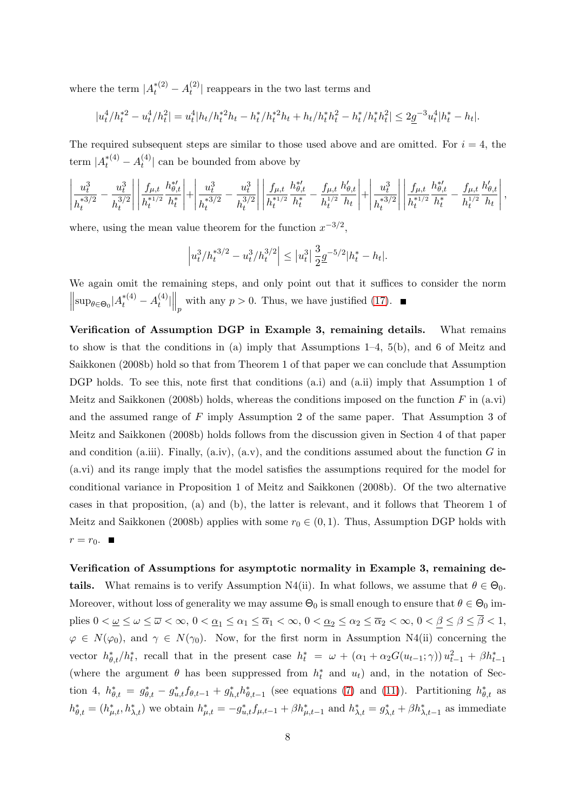where the term  $|A_t^{*(2)} - A_t^{(2)}|$  $\left| \frac{f^{(2)}}{f}\right|$  reappears in the two last terms and

$$
|u_t^4/h_t^{*2} - u_t^4/h_t^2| = u_t^4|h_t/h_t^{*2}h_t - h_t^*/h_t^{*2}h_t + h_t/h_t^*h_t^2 - h_t^*/h_t^*h_t^2| \leq 2\underline{g}^{-3}u_t^4|h_t^* - h_t|.
$$

The required subsequent steps are similar to those used above and are omitted. For  $i = 4$ , the term  $|A_t^{*(4)} - A_t^{(4)}|$  $\binom{4}{t}$  can be bounded from above by

$$
\left| \frac{u_t^3}{h_t^{*3/2}} - \frac{u_t^3}{h_t^{3/2}} \right| \left| \frac{f_{\mu,t}}{h_t^{*1/2}} \frac{h_{\theta,t}^{*}}{h_t^*} \right| + \left| \frac{u_t^3}{h_t^{*3/2}} - \frac{u_t^3}{h_t^{3/2}} \right| \left| \frac{f_{\mu,t}}{h_t^{*1/2}} \frac{h_{\theta,t}^{*}}{h_t^*} - \frac{f_{\mu,t}}{h_t^{1/2}} \frac{h_{\theta,t}'}{h_t} \right| + \left| \frac{u_t^3}{h_t^{*3/2}} \right| \left| \frac{f_{\mu,t}}{h_t^{*1/2}} \frac{h_{\theta,t}^{*}}{h_t^*} - \frac{f_{\mu,t}}{h_t^{1/2}} \frac{h_{\theta,t}'}{h_t} \right|,
$$

where, using the mean value theorem for the function  $x^{-3/2}$ ,

$$
\left|u_t^3/h_t^{*3/2} - u_t^3/h_t^{3/2}\right| \leq |u_t^3| \frac{3}{2} \underline{g}^{-5/2} |h_t^* - h_t|.
$$

We again omit the remaining steps, and only point out that it suffices to consider the norm  $\left\| \sup_{\theta \in \Theta_0} |A_t^{*(4)} - A_t^{(4)} \right\|$  $\|t^{(4)}\|_p$  with any  $p > 0$ . Thus, we have justified (17).

Verification of Assumption DGP in Example 3, remaining details. What remains to show is that the conditions in (a) imply that Assumptions 1–4, 5(b), and 6 of Meitz and Saikkonen (2008b) hold so that from Theorem 1 of that paper we can conclude that Assumption DGP holds. To see this, note first that conditions (a.i) and (a.ii) imply that Assumption 1 of Meitz and Saikkonen (2008b) holds, whereas the conditions imposed on the function F in  $(a.vi)$ and the assumed range of F imply Assumption 2 of the same paper. That Assumption 3 of Meitz and Saikkonen (2008b) holds follows from the discussion given in Section 4 of that paper and condition (a.iii). Finally, (a.iv), (a.v), and the conditions assumed about the function  $G$  in (a.vi) and its range imply that the model satisfies the assumptions required for the model for conditional variance in Proposition 1 of Meitz and Saikkonen (2008b). Of the two alternative cases in that proposition, (a) and (b), the latter is relevant, and it follows that Theorem 1 of Meitz and Saikkonen (2008b) applies with some  $r_0 \in (0, 1)$ . Thus, Assumption DGP holds with  $r = r_0$ .

Verification of Assumptions for asymptotic normality in Example 3, remaining details. What remains is to verify Assumption N4(ii). In what follows, we assume that  $\theta \in \Theta_0$ . Moreover, without loss of generality we may assume  $\Theta_0$  is small enough to ensure that  $\theta \in \Theta_0$  implies  $0 < \underline{\omega} \leq \omega \leq \overline{\omega} < \infty$ ,  $0 < \underline{\alpha}_1 \leq \alpha_1 \leq \overline{\alpha}_1 < \infty$ ,  $0 < \underline{\alpha}_2 \leq \alpha_2 \leq \overline{\alpha}_2 < \infty$ ,  $0 < \beta \leq \beta \leq \overline{\beta} < 1$ ,  $\varphi \in N(\varphi_0)$ , and  $\gamma \in N(\gamma_0)$ . Now, for the first norm in Assumption N4(ii) concerning the vector  $h_{\theta,t}^*/h_t^*$ , recall that in the present case  $h_t^* = \omega + (\alpha_1 + \alpha_2 G(u_{t-1}; \gamma)) u_{t-1}^2 + \beta h_{t-1}^*$ (where the argument  $\theta$  has been suppressed from  $h_t^*$  and  $u_t$ ) and, in the notation of Section 4,  $h_{\theta,t}^* = g_{\theta,t}^* - g_{u,t}^* f_{\theta,t-1} + g_{h,t}^* h_{\theta,t-1}^*$  (see equations (7) and (11)). Partitioning  $h_{\theta,t}^*$  as  $h_{\theta,t}^* = (h_{\mu,t}^*, h_{\lambda,t}^*)$  we obtain  $h_{\mu,t}^* = -g_{u,t}^* f_{\mu,t-1} + \beta h_{\mu,t-1}^*$  and  $h_{\lambda,t}^* = g_{\lambda,t}^* + \beta h_{\lambda,t-1}^*$  as immediate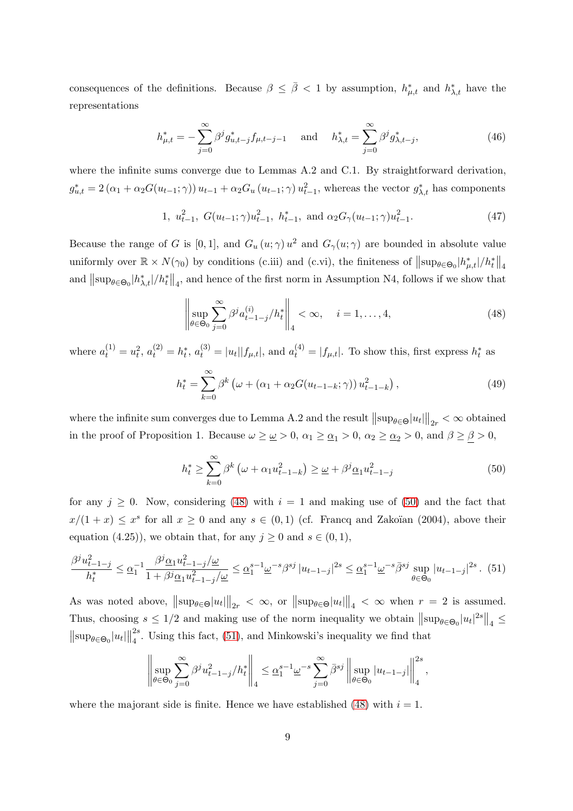consequences of the definitions. Because  $\beta \leq \bar{\beta} < 1$  by assumption,  $h^*_{\mu,t}$  and  $h^*_{\lambda,t}$  have the representations

$$
h_{\mu,t}^* = -\sum_{j=0}^{\infty} \beta^j g_{u,t-j}^* f_{\mu,t-j-1} \quad \text{and} \quad h_{\lambda,t}^* = \sum_{j=0}^{\infty} \beta^j g_{\lambda,t-j}^*,\tag{46}
$$

where the infinite sums converge due to Lemmas A.2 and C.1. By straightforward derivation,  $g_{u,t}^* = 2(\alpha_1 + \alpha_2 G(u_{t-1}; \gamma)) u_{t-1} + \alpha_2 G_u(u_{t-1}; \gamma) u_{t-1}^2$ , whereas the vector  $g_{\lambda,t}^*$  has components

1, 
$$
u_{t-1}^2
$$
,  $G(u_{t-1}; \gamma)u_{t-1}^2$ ,  $h_{t-1}^*$ , and  $\alpha_2 G_{\gamma}(u_{t-1}; \gamma)u_{t-1}^2$ . (47)

Because the range of G is [0,1], and  $G_u(u; \gamma) u^2$  and  $G_\gamma(u; \gamma)$  are bounded in absolute value uniformly over  $\mathbb{R} \times N(\gamma_0)$  by conditions (c.iii) and (c.vi), the finiteness of  $\|\sup_{\theta \in \Theta_0} |h_{\mu,t}^*|/h_t^*\|_4$ and  $\|\sup_{\theta \in \Theta_0} |h_{\lambda,t}^*|/h_t^*\|_4$ , and hence of the first norm in Assumption N4, follows if we show that

<span id="page-8-0"></span>
$$
\left\| \sup_{\theta \in \Theta_0} \sum_{j=0}^{\infty} \beta^j a_{t-1-j}^{(i)} / h_t^* \right\|_4 < \infty, \quad i = 1, \dots, 4,
$$
\n(48)

where  $a_t^{(1)} = u_t^2$ ,  $a_t^{(2)} = h_t^*$ ,  $a_t^{(3)} = |u_t||f_{\mu,t}|$ , and  $a_t^{(4)} = |f_{\mu,t}|$ . To show this, first express  $h_t^*$  as

<span id="page-8-3"></span>
$$
h_t^* = \sum_{k=0}^{\infty} \beta^k \left( \omega + (\alpha_1 + \alpha_2 G(u_{t-1-k}; \gamma)) u_{t-1-k}^2 \right), \tag{49}
$$

where the infinite sum converges due to Lemma A.2 and the result  $\|\sup_{\theta \in \Theta} |u_t|\|_{2r} < \infty$  obtained in the proof of Proposition 1. Because  $\omega \geq \omega > 0$ ,  $\alpha_1 \geq \alpha_1 > 0$ ,  $\alpha_2 \geq \alpha_2 > 0$ , and  $\beta \geq \beta > 0$ ,

<span id="page-8-1"></span>
$$
h_t^* \ge \sum_{k=0}^{\infty} \beta^k \left(\omega + \alpha_1 u_{t-1-k}^2\right) \ge \underline{\omega} + \beta^j \underline{\alpha}_1 u_{t-1-j}^2 \tag{50}
$$

for any  $j \geq 0$ . Now, considering [\(48\)](#page-8-0) with  $i = 1$  and making use of [\(50\)](#page-8-1) and the fact that  $x/(1+x) \leq x^s$  for all  $x \geq 0$  and any  $s \in (0,1)$  (cf. Francq and Zakoïan (2004), above their equation (4.25)), we obtain that, for any  $j \geq 0$  and  $s \in (0,1)$ ,

<span id="page-8-2"></span>
$$
\frac{\beta^j u_{t-1-j}^2}{h_t^*} \le \underline{\alpha}_1^{-1} \frac{\beta^j \underline{\alpha}_1 u_{t-1-j}^2 / \underline{\omega}}{1 + \beta^j \underline{\alpha}_1 u_{t-1-j}^2 / \underline{\omega}} \le \underline{\alpha}_1^{s-1} \underline{\omega}^{-s} \beta^{sj} |u_{t-1-j}|^{2s} \le \underline{\alpha}_1^{s-1} \underline{\omega}^{-s} \overline{\beta}^{sj} \sup_{\theta \in \Theta_0} |u_{t-1-j}|^{2s} . \tag{51}
$$

As was noted above,  $\|\sup_{\theta \in \Theta} |u_t| \|_{2r} < \infty$ , or  $\|\sup_{\theta \in \Theta} |u_t| \|_{4} < \infty$  when  $r = 2$  is assumed. Thus, choosing  $s \leq 1/2$  and making use of the norm inequality we obtain  $\|\sup_{\theta \in \Theta_0} |u_t|^{2s}\|_4 \leq$  $\|\sup_{\theta \in \Theta_0} |u_t|\|$ 2s  $\frac{2^s}{4}$ . Using this fact, [\(51\)](#page-8-2), and Minkowski's inequality we find that

$$
\left\|\sup_{\theta\in\Theta_0}\sum_{j=0}^\infty\beta^ju_{t-1-j}^2/h_t^*\right\|_4\leq \underline{\alpha}_1^{s-1}\underline{\omega}^{-s}\sum_{j=0}^\infty\bar{\beta}^{sj}\left\|\sup_{\theta\in\Theta_0}|u_{t-1-j}|\right\|_4^{2s},
$$

where the majorant side is finite. Hence we have established [\(48\)](#page-8-0) with  $i = 1$ .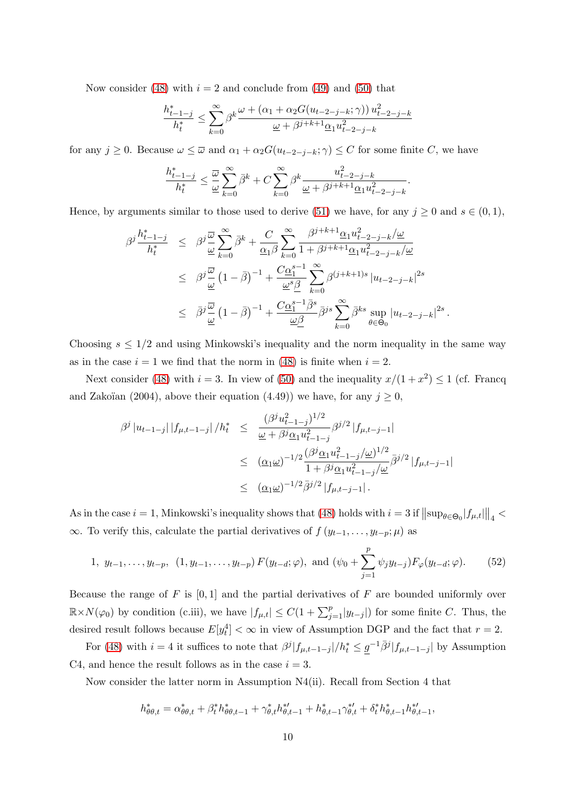Now consider [\(48\)](#page-8-0) with  $i = 2$  and conclude from [\(49\)](#page-8-3) and [\(50\)](#page-8-1) that

$$
\frac{h_{t-1-j}^*}{h_t^*} \leq \sum_{k=0}^\infty \beta^k \frac{\omega+\left(\alpha_1+\alpha_2 G(u_{t-2-j-k};\gamma)\right)u_{t-2-j-k}^2}{\underline{\omega}+\beta^{j+k+1}\underline{\alpha}_1u_{t-2-j-k}^2}
$$

for any  $j \geq 0$ . Because  $\omega \leq \overline{\omega}$  and  $\alpha_1 + \alpha_2 G(u_{t-2-j-k}; \gamma) \leq C$  for some finite C, we have

$$
\frac{h^*_{t-1-j}}{h^*_t}\leq \frac{\overline{\omega}}{\underline{\omega}}\sum_{k=0}^\infty \bar{\beta}^k + C\sum_{k=0}^\infty \beta^k \frac{u^2_{t-2-j-k}}{\underline{\omega}+\beta^{j+k+1}\underline{\alpha}_1u^2_{t-2-j-k}}.
$$

Hence, by arguments similar to those used to derive [\(51\)](#page-8-2) we have, for any  $j \ge 0$  and  $s \in (0,1)$ ,

$$
\begin{array}{rcl} \beta^j\frac{h_{t-1-j}^*}{h_t^*} & \leq & \beta^j\frac{\overline{\omega}}{\underline{\omega}}\sum\limits_{k=0}^\infty \bar{\beta}^k + \frac{C}{\underline{\alpha_1}\beta}\sum\limits_{k=0}^\infty \frac{\beta^{j+k+1}\underline{\alpha_1}u_{t-2-j-k}^2/\underline{\omega}}{1+\beta^{j+k+1}\underline{\alpha_1}u_{t-2-j-k}^2/\underline{\omega}} \\ \\ & \leq & \beta^j\frac{\overline{\omega}}{\underline{\omega}}\left(1-\bar{\beta}\right)^{-1} + \frac{C\underline{\alpha_1^{s-1}}}{\underline{\omega}^s\underline{\beta}}\sum\limits_{k=0}^\infty \beta^{(j+k+1)s}\left|u_{t-2-j-k}\right|^{2s} \\ \\ & \leq & \bar{\beta}^j\frac{\overline{\omega}}{\underline{\omega}}\left(1-\bar{\beta}\right)^{-1} + \frac{C\underline{\alpha_1^{s-1}}\bar{\beta}^s}{\underline{\omega}\underline{\beta}}\bar{\beta}^{js}\sum\limits_{k=0}^\infty \bar{\beta}^{ks}\sup_{\theta\in\Theta_0}|u_{t-2-j-k}|^{2s} \, . \end{array}
$$

Choosing  $s \leq 1/2$  and using Minkowski's inequality and the norm inequality in the same way as in the case  $i = 1$  we find that the norm in [\(48\)](#page-8-0) is finite when  $i = 2$ .

Next consider [\(48\)](#page-8-0) with  $i = 3$ . In view of [\(50\)](#page-8-1) and the inequality  $x/(1+x^2) \le 1$  (cf. Francq and Zakoïan (2004), above their equation (4.49)) we have, for any  $j \geq 0$ ,

$$
\beta^{j} |u_{t-1-j}| |f_{\mu,t-1-j}| / h_{t}^{*} \leq \frac{(\beta^{j} u_{t-1-j}^{2})^{1/2}}{\underline{\omega} + \beta^{j} \underline{\alpha}_{1} u_{t-1-j}^{2}} \beta^{j/2} |f_{\mu,t-j-1}|
$$
  

$$
\leq (\underline{\alpha}_{1} \underline{\omega})^{-1/2} \frac{(\beta^{j} \underline{\alpha}_{1} u_{t-1-j}^{2} / \underline{\omega})^{1/2}}{1 + \beta^{j} \underline{\alpha}_{1} u_{t-1-j}^{2} / \underline{\omega}} \overline{\beta}^{j/2} |f_{\mu,t-j-1}|
$$
  

$$
\leq (\underline{\alpha}_{1} \underline{\omega})^{-1/2} \overline{\beta}^{j/2} |f_{\mu,t-j-1}|.
$$

As in the case  $i = 1$ , Minkowski's inequality shows that [\(48\)](#page-8-0) holds with  $i = 3$  if  $\|\sup_{\theta \in \Theta_0} |f_{\mu,t}|\|_4 < \infty$  $\infty$ . To verify this, calculate the partial derivatives of  $f(y_{t-1}, \ldots, y_{t-p}; \mu)$  as

1, 
$$
y_{t-1}, \ldots, y_{t-p}, (1, y_{t-1}, \ldots, y_{t-p}) F(y_{t-d}; \varphi)
$$
, and  $(\psi_0 + \sum_{j=1}^p \psi_j y_{t-j}) F_{\varphi}(y_{t-d}; \varphi)$ . (52)

Because the range of  $F$  is  $[0, 1]$  and the partial derivatives of  $F$  are bounded uniformly over  $\mathbb{R}\times N(\varphi_0)$  by condition (c.iii), we have  $|f_{\mu,t}|\leq C(1+\sum_{j=1}^p|y_{t-j}|)$  for some finite C. Thus, the desired result follows because  $E[y_t^4] < \infty$  in view of Assumption DGP and the fact that  $r = 2$ .

For [\(48\)](#page-8-0) with  $i = 4$  it suffices to note that  $\frac{\beta^j |f_{\mu,t-1-j}|}{\hbar^2} \leq \frac{g^{-1} \bar{\beta}^j |f_{\mu,t-1-j}|}{\beta^j |f_{\mu,t-1-j}|}$  by Assumption C4, and hence the result follows as in the case  $i = 3$ .

Now consider the latter norm in Assumption N4(ii). Recall from Section 4 that

$$
h_{\theta\theta,t}^* = \alpha_{\theta\theta,t}^* + \beta_t^* h_{\theta\theta,t-1}^* + \gamma_{\theta,t}^* h_{\theta,t-1}^{*'} + h_{\theta,t-1}^* \gamma_{\theta,t}^{*'} + \delta_t^* h_{\theta,t-1}^* h_{\theta,t-1}^{*'} ,
$$